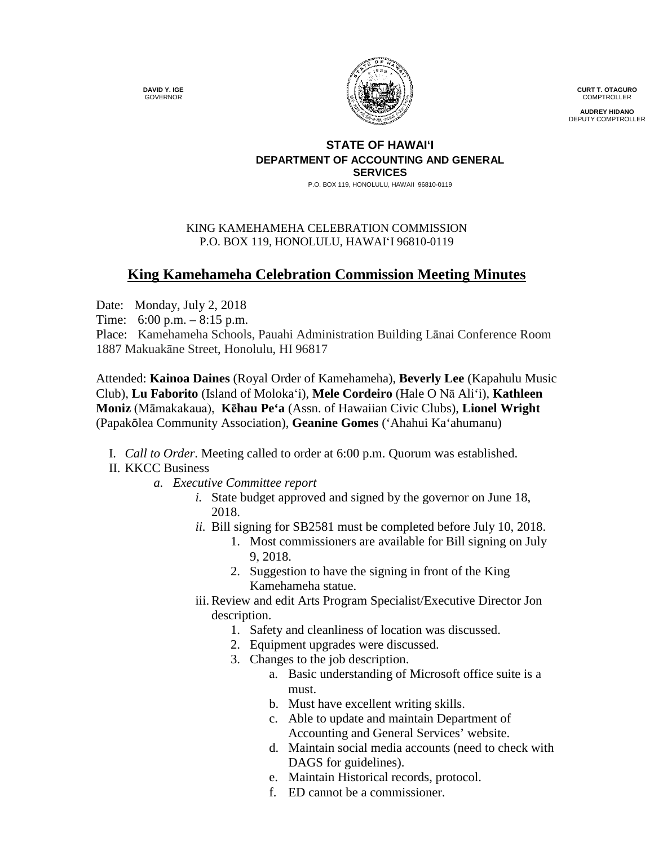**DAVID Y. IGE** GOVERNOR



**CURT T. OTAGURO** COMPTROLLER

**AUDREY HIDANO** DEPUTY COMPTROLLER

#### **STATE OF HAWAI'I DEPARTMENT OF ACCOUNTING AND GENERAL SERVICES**

P.O. BOX 119, HONOLULU, HAWAII 96810-0119

### KING KAMEHAMEHA CELEBRATION COMMISSION P.O. BOX 119, HONOLULU, HAWAIʻI 96810-0119

# **King Kamehameha Celebration Commission Meeting Minutes**

Date: Monday, July 2, 2018

Time: 6:00 p.m. – 8:15 p.m.

Place: Kamehameha Schools, Pauahi Administration Building Lānai Conference Room 1887 Makuakāne Street, Honolulu, HI 96817

Attended: **Kainoa Daines** (Royal Order of Kamehameha), **Beverly Lee** (Kapahulu Music Club), **Lu Faborito** (Island of Molokaʻi), **Mele Cordeiro** (Hale O Nā Ali'i), **Kathleen Moniz** (Māmakakaua), **Kēhau Pe'a** (Assn. of Hawaiian Civic Clubs), **Lionel Wright** (Papakōlea Community Association), **Geanine Gomes** ('Ahahui Ka'ahumanu)

I. *Call to Order*. Meeting called to order at 6:00 p.m. Quorum was established.

## II. KKCC Business

- *a. Executive Committee report*
	- *i.* State budget approved and signed by the governor on June 18, 2018.
	- *ii.* Bill signing for SB2581 must be completed before July 10, 2018.
		- 1. Most commissioners are available for Bill signing on July 9, 2018.
		- 2. Suggestion to have the signing in front of the King Kamehameha statue.
	- iii.Review and edit Arts Program Specialist/Executive Director Jon description.
		- 1. Safety and cleanliness of location was discussed.
		- 2. Equipment upgrades were discussed.
		- 3. Changes to the job description.
			- a. Basic understanding of Microsoft office suite is a must.
			- b. Must have excellent writing skills.
			- c. Able to update and maintain Department of Accounting and General Services' website.
			- d. Maintain social media accounts (need to check with DAGS for guidelines).
			- e. Maintain Historical records, protocol.
			- f. ED cannot be a commissioner.